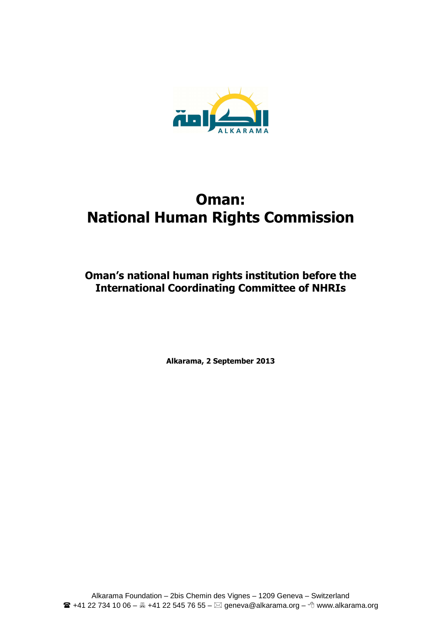

# **Oman: National Human Rights Commission**

**Oman's national human rights institution before the International Coordinating Committee of NHRIs** 

**Alkarama, 2 September 2013**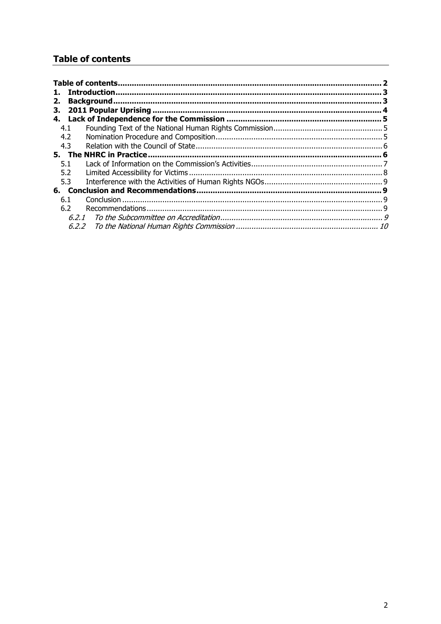# **Table of contents**

|       | <b>Introduction</b> |  |
|-------|---------------------|--|
| 2.    |                     |  |
| З.    |                     |  |
| 4.    |                     |  |
| 4.1   |                     |  |
| 4.2   |                     |  |
| 4.3   |                     |  |
|       |                     |  |
| 5.1   |                     |  |
| 5.2   |                     |  |
| 5.3   |                     |  |
|       |                     |  |
| 6.1   |                     |  |
| 6.2   |                     |  |
|       |                     |  |
| 6.2.2 |                     |  |
|       |                     |  |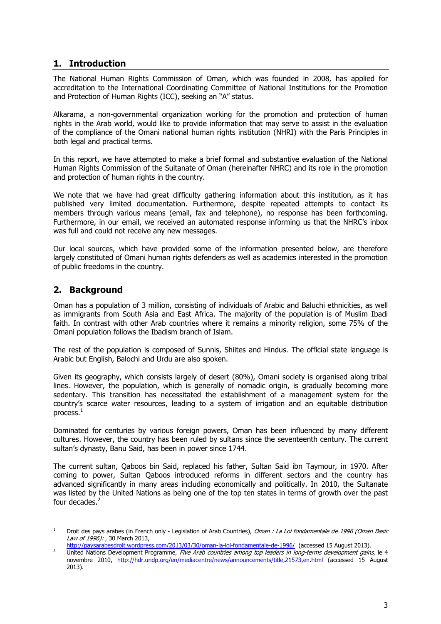# **1. Introduction**

The National Human Rights Commission of Oman, which was founded in 2008, has applied for accreditation to the International Coordinating Committee of National Institutions for the Promotion and Protection of Human Rights (ICC), seeking an "A" status.

Alkarama, a non-governmental organization working for the promotion and protection of human rights in the Arab world, would like to provide information that may serve to assist in the evaluation of the compliance of the Omani national human rights institution (NHRI) with the Paris Principles in both legal and practical terms.

In this report, we have attempted to make a brief formal and substantive evaluation of the National Human Rights Commission of the Sultanate of Oman (hereinafter NHRC) and its role in the promotion and protection of human rights in the country.

We note that we have had great difficulty gathering information about this institution, as it has published very limited documentation. Furthermore, despite repeated attempts to contact its members through various means (email, fax and telephone), no response has been forthcoming. Furthermore, in our email, we received an automated response informing us that the NHRC's inbox was full and could not receive any new messages.

Our local sources, which have provided some of the information presented below, are therefore largely constituted of Omani human rights defenders as well as academics interested in the promotion of public freedoms in the country.

# **2. Background**

Oman has a population of 3 million, consisting of individuals of Arabic and Baluchi ethnicities, as well as immigrants from South Asia and East Africa. The majority of the population is of Muslim Ibadi faith. In contrast with other Arab countries where it remains a minority religion, some 75% of the Omani population follows the Ibadism branch of Islam.

The rest of the population is composed of Sunnis, Shiites and Hindus. The official state language is Arabic but English, Balochi and Urdu are also spoken.

Given its geography, which consists largely of desert (80%), Omani society is organised along tribal lines. However, the population, which is generally of nomadic origin, is gradually becoming more sedentary. This transition has necessitated the establishment of a management system for the country's scarce water resources, leading to a system of irrigation and an equitable distribution process.<sup>1</sup>

Dominated for centuries by various foreign powers, Oman has been influenced by many different cultures. However, the country has been ruled by sultans since the seventeenth century. The current sultan's dynasty, Banu Said, has been in power since 1744.

The current sultan, Qaboos bin Said, replaced his father, Sultan Said ibn Taymour, in 1970. After coming to power, Sultan Qaboos introduced reforms in different sectors and the country has advanced significantly in many areas including economically and politically. In 2010, the Sultanate was listed by the United Nations as being one of the top ten states in terms of growth over the past four decades.<sup>2</sup>

<sup>1</sup> 1 Droit des pays arabes (in French only - Legislation of Arab Countries), Oman : La Loi fondamentale de 1996 (Oman Basic Law of 1996): , 30 March 2013,

http://paysarabesdroit.wordpress.com/2013/03/30/oman-la-loi-fondamentale-de-1996/ (accessed 15 August 2013).

<sup>2</sup> United Nations Development Programme, Five Arab countries among top leaders in long-terms development gains, le 4 novembre 2010, http://hdr.undp.org/en/mediacentre/news/announcements/title,21573,en.html (accessed 15 August 2013).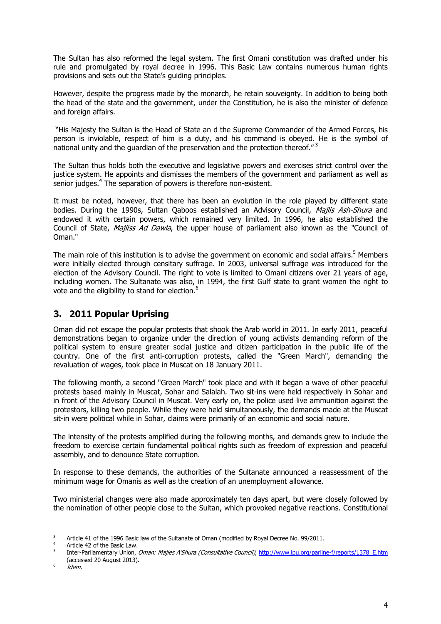The Sultan has also reformed the legal system. The first Omani constitution was drafted under his rule and promulgated by royal decree in 1996. This Basic Law contains numerous human rights provisions and sets out the State's guiding principles.

However, despite the progress made by the monarch, he retain souveignty. In addition to being both the head of the state and the government, under the Constitution, he is also the minister of defence and foreign affairs.

 "His Majesty the Sultan is the Head of State an d the Supreme Commander of the Armed Forces, his person is inviolable, respect of him is a duty, and his command is obeyed. He is the symbol of national unity and the quardian of the preservation and the protection thereof."<sup>3</sup>

The Sultan thus holds both the executive and legislative powers and exercises strict control over the justice system. He appoints and dismisses the members of the government and parliament as well as senior judges.<sup>4</sup> The separation of powers is therefore non-existent.

It must be noted, however, that there has been an evolution in the role played by different state bodies. During the 1990s, Sultan Oaboos established an Advisory Council, Majlis Ash-Shura and endowed it with certain powers, which remained very limited. In 1996, he also established the Council of State, Majliss Ad Dawla, the upper house of parliament also known as the "Council of Oman."

The main role of this institution is to advise the government on economic and social affairs.<sup>5</sup> Members were initially elected through censitary suffrage. In 2003, universal suffrage was introduced for the election of the Advisory Council. The right to vote is limited to Omani citizens over 21 years of age, including women. The Sultanate was also, in 1994, the first Gulf state to grant women the right to vote and the eligibility to stand for election.<sup>6</sup>

# **3. 2011 Popular Uprising**

Oman did not escape the popular protests that shook the Arab world in 2011. In early 2011, peaceful demonstrations began to organize under the direction of young activists demanding reform of the political system to ensure greater social justice and citizen participation in the public life of the country. One of the first anti-corruption protests, called the "Green March", demanding the revaluation of wages, took place in Muscat on 18 January 2011.

The following month, a second "Green March" took place and with it began a wave of other peaceful protests based mainly in Muscat, Sohar and Salalah. Two sit-ins were held respectively in Sohar and in front of the Advisory Council in Muscat. Very early on, the police used live ammunition against the protestors, killing two people. While they were held simultaneously, the demands made at the Muscat sit-in were political while in Sohar, claims were primarily of an economic and social nature.

The intensity of the protests amplified during the following months, and demands grew to include the freedom to exercise certain fundamental political rights such as freedom of expression and peaceful assembly, and to denounce State corruption.

In response to these demands, the authorities of the Sultanate announced a reassessment of the minimum wage for Omanis as well as the creation of an unemployment allowance.

Two ministerial changes were also made approximately ten days apart, but were closely followed by the nomination of other people close to the Sultan, which provoked negative reactions. Constitutional

<sup>-&</sup>lt;br>3 Article 41 of the 1996 Basic law of the Sultanate of Oman (modified by Royal Decree No. 99/2011.

<sup>4</sup> Article 42 of the Basic Law.

<sup>5</sup> Inter-Parliamentary Union, Oman: Majles A'Shura (Consultative Council), http://www.ipu.org/parline-f/reports/1378\_E.htm (accessed 20 August 2013). 6

Idem.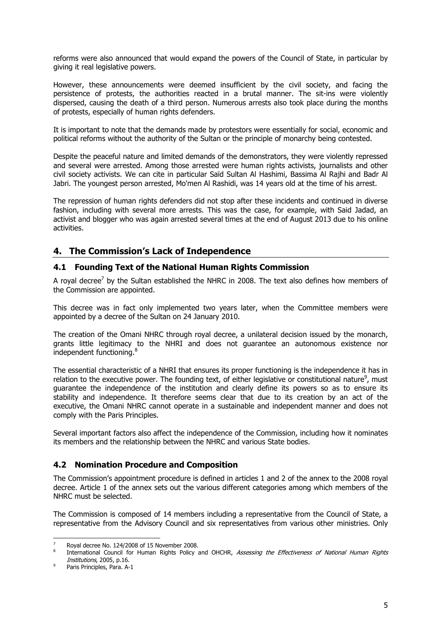reforms were also announced that would expand the powers of the Council of State, in particular by giving it real legislative powers.

However, these announcements were deemed insufficient by the civil society, and facing the persistence of protests, the authorities reacted in a brutal manner. The sit-ins were violently dispersed, causing the death of a third person. Numerous arrests also took place during the months of protests, especially of human rights defenders.

It is important to note that the demands made by protestors were essentially for social, economic and political reforms without the authority of the Sultan or the principle of monarchy being contested.

Despite the peaceful nature and limited demands of the demonstrators, they were violently repressed and several were arrested. Among those arrested were human rights activists, journalists and other civil society activists. We can cite in particular Saïd Sultan Al Hashimi, Bassima Al Rajhi and Badr Al Jabri. The youngest person arrested, Mo'men Al Rashidi, was 14 years old at the time of his arrest.

The repression of human rights defenders did not stop after these incidents and continued in diverse fashion, including with several more arrests. This was the case, for example, with Said Jadad, an activist and blogger who was again arrested several times at the end of August 2013 due to his online activities.

# **4. The Commission's Lack of Independence**

#### **4.1 Founding Text of the National Human Rights Commission**

A royal decree<sup>7</sup> by the Sultan established the NHRC in 2008. The text also defines how members of the Commission are appointed.

This decree was in fact only implemented two years later, when the Committee members were appointed by a decree of the Sultan on 24 January 2010.

The creation of the Omani NHRC through royal decree, a unilateral decision issued by the monarch, grants little legitimacy to the NHRI and does not guarantee an autonomous existence nor independent functioning.<sup>8</sup>

The essential characteristic of a NHRI that ensures its proper functioning is the independence it has in relation to the executive power. The founding text, of either legislative or constitutional nature<sup>9</sup>, must guarantee the independence of the institution and clearly define its powers so as to ensure its stability and independence. It therefore seems clear that due to its creation by an act of the executive, the Omani NHRC cannot operate in a sustainable and independent manner and does not comply with the Paris Principles.

Several important factors also affect the independence of the Commission, including how it nominates its members and the relationship between the NHRC and various State bodies.

#### **4.2 Nomination Procedure and Composition**

The Commission's appointment procedure is defined in articles 1 and 2 of the annex to the 2008 royal decree. Article 1 of the annex sets out the various different categories among which members of the NHRC must be selected.

The Commission is composed of 14 members including a representative from the Council of State, a representative from the Advisory Council and six representatives from various other ministries. Only

<sup>-</sup>7 Royal decree No. 124/2008 of 15 November 2008.

<sup>8</sup> International Council for Human Rights Policy and OHCHR, Assessing the Effectiveness of National Human Rights Institutions, 2005, p.16.

<sup>9</sup> Paris Principles, Para. A-1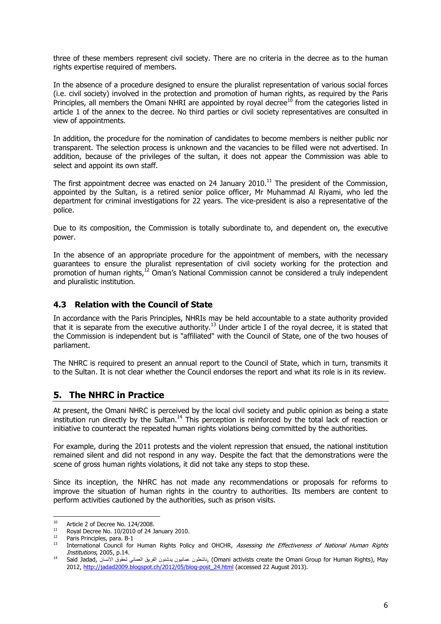three of these members represent civil society. There are no criteria in the decree as to the human rights expertise required of members.

In the absence of a procedure designed to ensure the pluralist representation of various social forces (i.e. civil society) involved in the protection and promotion of human rights, as required by the Paris Principles, all members the Omani NHRI are appointed by royal decree $10$  from the categories listed in article 1 of the annex to the decree. No third parties or civil society representatives are consulted in view of appointments.

In addition, the procedure for the nomination of candidates to become members is neither public nor transparent. The selection process is unknown and the vacancies to be filled were not advertised. In addition, because of the privileges of the sultan, it does not appear the Commission was able to select and appoint its own staff.

The first appointment decree was enacted on 24 January 2010.<sup>11</sup> The president of the Commission, appointed by the Sultan, is a retired senior police officer, Mr Muhammad Al Riyami, who led the department for criminal investigations for 22 years. The vice-president is also a representative of the police.

Due to its composition, the Commission is totally subordinate to, and dependent on, the executive power.

In the absence of an appropriate procedure for the appointment of members, with the necessary guarantees to ensure the pluralist representation of civil society working for the protection and promotion of human rights,<sup>12</sup> Oman's National Commission cannot be considered a truly independent and pluralistic institution.

### **4.3 Relation with the Council of State**

In accordance with the Paris Principles, NHRIs may be held accountable to a state authority provided that it is separate from the executive authority.<sup>13</sup> Under article I of the royal decree, it is stated that the Commission is independent but is "affiliated" with the Council of State, one of the two houses of parliament.

The NHRC is required to present an annual report to the Council of State, which in turn, transmits it to the Sultan. It is not clear whether the Council endorses the report and what its role is in its review.

# **5. The NHRC in Practice**

At present, the Omani NHRC is perceived by the local civil society and public opinion as being a state institution run directly by the Sultan.<sup>14</sup> This perception is reinforced by the total lack of reaction or initiative to counteract the repeated human rights violations being committed by the authorities.

For example, during the 2011 protests and the violent repression that ensued, the national institution remained silent and did not respond in any way. Despite the fact that the demonstrations were the scene of gross human rights violations, it did not take any steps to stop these.

Since its inception, the NHRC has not made any recommendations or proposals for reforms to improve the situation of human rights in the country to authorities. Its members are content to perform activities cautioned by the authorities, such as prison visits.

 $10<sup>10</sup>$ <sup>10</sup> Article 2 of Decree No. 124/2008.

Roval Decree No. 10/2010 of 24 January 2010.

 $12$  Paris Principles, para. B-1

International Council for Human Rights Policy and OHCHR, Assessing the Effectiveness of National Human Rights Institutions, 2005, p.14.

 $^{14}$  Said Jadad, ن-انشعارن ينشنون الفريق العماني لحقوق الانسان (Omani activists create the Omani Group for Human Rights), May 2012, http://jadad2009.blogspot.ch/2012/05/blog-post\_24.html (accessed 22 August 2013).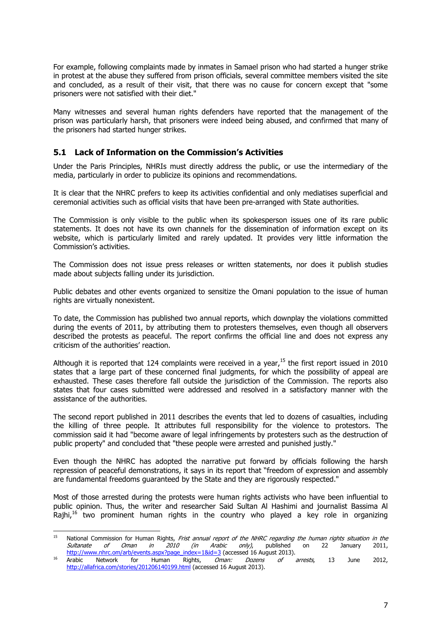For example, following complaints made by inmates in Samael prison who had started a hunger strike in protest at the abuse they suffered from prison officials, several committee members visited the site and concluded, as a result of their visit, that there was no cause for concern except that "some prisoners were not satisfied with their diet."

Many witnesses and several human rights defenders have reported that the management of the prison was particularly harsh, that prisoners were indeed being abused, and confirmed that many of the prisoners had started hunger strikes.

### **5.1 Lack of Information on the Commission's Activities**

Under the Paris Principles, NHRIs must directly address the public, or use the intermediary of the media, particularly in order to publicize its opinions and recommendations.

It is clear that the NHRC prefers to keep its activities confidential and only mediatises superficial and ceremonial activities such as official visits that have been pre-arranged with State authorities.

The Commission is only visible to the public when its spokesperson issues one of its rare public statements. It does not have its own channels for the dissemination of information except on its website, which is particularly limited and rarely updated. It provides very little information the Commission's activities.

The Commission does not issue press releases or written statements, nor does it publish studies made about subjects falling under its jurisdiction.

Public debates and other events organized to sensitize the Omani population to the issue of human rights are virtually nonexistent.

To date, the Commission has published two annual reports, which downplay the violations committed during the events of 2011, by attributing them to protesters themselves, even though all observers described the protests as peaceful. The report confirms the official line and does not express any criticism of the authorities' reaction.

Although it is reported that 124 complaints were received in a year, $15$  the first report issued in 2010 states that a large part of these concerned final judgments, for which the possibility of appeal are exhausted. These cases therefore fall outside the jurisdiction of the Commission. The reports also states that four cases submitted were addressed and resolved in a satisfactory manner with the assistance of the authorities.

The second report published in 2011 describes the events that led to dozens of casualties, including the killing of three people. It attributes full responsibility for the violence to protestors. The commission said it had "become aware of legal infringements by protesters such as the destruction of public property" and concluded that "these people were arrested and punished justly."

Even though the NHRC has adopted the narrative put forward by officials following the harsh repression of peaceful demonstrations, it says in its report that "freedom of expression and assembly are fundamental freedoms guaranteed by the State and they are rigorously respected."

Most of those arrested during the protests were human rights activists who have been influential to public opinion. Thus, the writer and researcher Said Sultan Al Hashimi and journalist Bassima Al Rajhi,<sup>16</sup> two prominent human rights in the country who played a key role in organizing

<sup>15</sup> National Commission for Human Rights, Frist annual report of the NHRC regarding the human rights situation in the<br>Sultanate of Oman in 2010 (in Arabic only), published on 22 January 2011, Sultanate of Oman in 2010 (in Arabic only), published on 22 January 2011, http://www.nhrc.om/arb/events.aspx?page\_index=1&id=3 (accessed 16 August 2013).

<sup>&</sup>lt;sup>16</sup> Arabic Network for Human Rights, *Oman: Dozens of arrests*, 13 June 2012, http://allafrica.com/stories/201206140199.html (accessed 16 August 2013).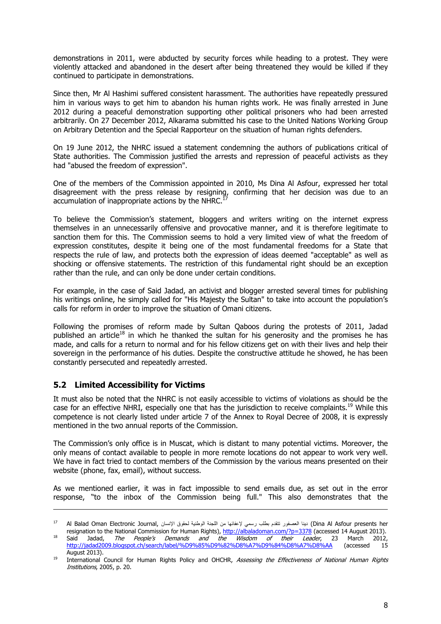demonstrations in 2011, were abducted by security forces while heading to a protest. They were violently attacked and abandoned in the desert after being threatened they would be killed if they continued to participate in demonstrations.

Since then, Mr Al Hashimi suffered consistent harassment. The authorities have repeatedly pressured him in various ways to get him to abandon his human rights work. He was finally arrested in June 2012 during a peaceful demonstration supporting other political prisoners who had been arrested arbitrarily. On 27 December 2012, Alkarama submitted his case to the United Nations Working Group on Arbitrary Detention and the Special Rapporteur on the situation of human rights defenders.

On 19 June 2012, the NHRC issued a statement condemning the authors of publications critical of State authorities. The Commission justified the arrests and repression of peaceful activists as they had "abused the freedom of expression".

One of the members of the Commission appointed in 2010, Ms Dina Al Asfour, expressed her total disagreement with the press release by resigning, confirming that her decision was due to an accumulation of inappropriate actions by the NHRC.<sup>1</sup>

To believe the Commission's statement, bloggers and writers writing on the internet express themselves in an unnecessarily offensive and provocative manner, and it is therefore legitimate to sanction them for this. The Commission seems to hold a very limited view of what the freedom of expression constitutes, despite it being one of the most fundamental freedoms for a State that respects the rule of law, and protects both the expression of ideas deemed "acceptable" as well as shocking or offensive statements. The restriction of this fundamental right should be an exception rather than the rule, and can only be done under certain conditions.

For example, in the case of Said Jadad, an activist and blogger arrested several times for publishing his writings online, he simply called for "His Majesty the Sultan" to take into account the population's calls for reform in order to improve the situation of Omani citizens.

Following the promises of reform made by Sultan Qaboos during the protests of 2011, Jadad published an article<sup>18</sup> in which he thanked the sultan for his generosity and the promises he has made, and calls for a return to normal and for his fellow citizens get on with their lives and help their sovereign in the performance of his duties. Despite the constructive attitude he showed, he has been constantly persecuted and repeatedly arrested.

# **5.2 Limited Accessibility for Victims**

-

It must also be noted that the NHRC is not easily accessible to victims of violations as should be the case for an effective NHRI, especially one that has the jurisdiction to receive complaints.<sup>19</sup> While this competence is not clearly listed under article 7 of the Annex to Royal Decree of 2008, it is expressly mentioned in the two annual reports of the Commission.

The Commission's only office is in Muscat, which is distant to many potential victims. Moreover, the only means of contact available to people in more remote locations do not appear to work very well. We have in fact tried to contact members of the Commission by the various means presented on their website (phone, fax, email), without success.

As we mentioned earlier, it was in fact impossible to send emails due, as set out in the error response, "to the inbox of the Commission being full." This also demonstrates that the

Dina Al Asfour presents her ) دينا العصفور نتقدم بطلب رسمي لإعفائها من اللجنة الوطنية لحقوق الإنسان (Jana Al Asfour presents her ) متلم التابق عن المعافر المستقط بالمستمر المستمر المستمر المستمر المستمر المستمر resignation to the National Commission for Human Rights), http://albaladoman.com/?p=3378 (accessed 14 August 2013).

<sup>&</sup>lt;sup>18</sup> Said Jadad, *The People's Demands and the Wisdom of their Leader*, 23 March 2012, http://jadad2009.blogspot.ch/search/label/%D9%85%D9%82%D8%A7%D9%84%D8%A7%D8%AA (accessed 15 August 2013).

<sup>&</sup>lt;sup>19</sup> International Council for Human Rights Policy and OHCHR, Assessing the Effectiveness of National Human Rights Institutions, 2005, p. 20.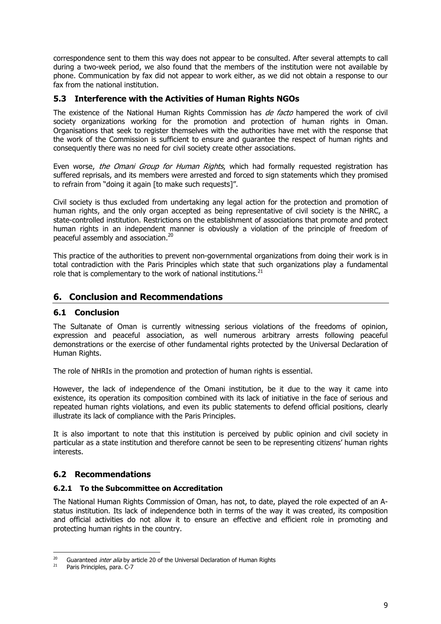correspondence sent to them this way does not appear to be consulted. After several attempts to call during a two-week period, we also found that the members of the institution were not available by phone. Communication by fax did not appear to work either, as we did not obtain a response to our fax from the national institution.

### **5.3 Interference with the Activities of Human Rights NGOs**

The existence of the National Human Rights Commission has *de facto* hampered the work of civil society organizations working for the promotion and protection of human rights in Oman. Organisations that seek to register themselves with the authorities have met with the response that the work of the Commission is sufficient to ensure and guarantee the respect of human rights and consequently there was no need for civil society create other associations.

Even worse, the Omani Group for Human Rights, which had formally requested registration has suffered reprisals, and its members were arrested and forced to sign statements which they promised to refrain from "doing it again [to make such requests]".

Civil society is thus excluded from undertaking any legal action for the protection and promotion of human rights, and the only organ accepted as being representative of civil society is the NHRC, a state-controlled institution. Restrictions on the establishment of associations that promote and protect human rights in an independent manner is obviously a violation of the principle of freedom of peaceful assembly and association.<sup>20</sup>

This practice of the authorities to prevent non-governmental organizations from doing their work is in total contradiction with the Paris Principles which state that such organizations play a fundamental role that is complementary to the work of national institutions. $^{21}$ 

# **6. Conclusion and Recommendations**

#### **6.1 Conclusion**

The Sultanate of Oman is currently witnessing serious violations of the freedoms of opinion, expression and peaceful association, as well numerous arbitrary arrests following peaceful demonstrations or the exercise of other fundamental rights protected by the Universal Declaration of Human Rights.

The role of NHRIs in the promotion and protection of human rights is essential.

However, the lack of independence of the Omani institution, be it due to the way it came into existence, its operation its composition combined with its lack of initiative in the face of serious and repeated human rights violations, and even its public statements to defend official positions, clearly illustrate its lack of compliance with the Paris Principles.

It is also important to note that this institution is perceived by public opinion and civil society in particular as a state institution and therefore cannot be seen to be representing citizens' human rights interests.

# **6.2 Recommendations**

#### **6.2.1 To the Subcommittee on Accreditation**

The National Human Rights Commission of Oman, has not, to date, played the role expected of an Astatus institution. Its lack of independence both in terms of the way it was created, its composition and official activities do not allow it to ensure an effective and efficient role in promoting and protecting human rights in the country.

 $20<sup>°</sup>$ Guaranteed *inter alia* by article 20 of the Universal Declaration of Human Rights

<sup>&</sup>lt;sup>21</sup> Paris Principles, para. C-7